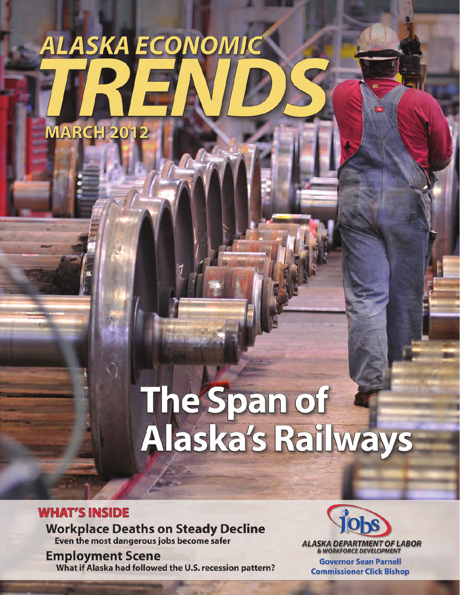## ALASKA ECONOMIC **MARCH 2012**

# The Span of<br>Alaska's Railways

**WHAT'S INSIDE Workplace Deaths on Steady Decline** Even the most dangerous jobs become safer

**Employment Scene** What if Alaska had followed the U.S. recession pattern?



**ALASKA DEPARTMENT OF LABOR**<br>& WORKFORCE DEVELOPMENT

**Governor Sean Parnell Commissioner Click Bishop**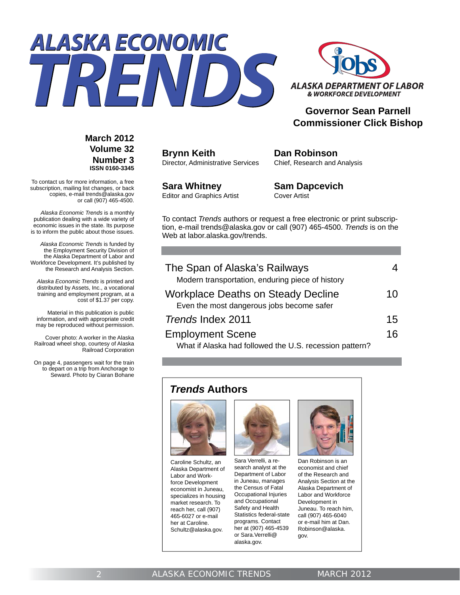



#### **Governor Sean Parnell Commissioner Click Bishop**

**March 2012 Volume 32 Number 3 ISSN 0160-3345**

To contact us for more information, a free subscription, mailing list changes, or back copies, e-mail trends@alaska.gov or call (907) 465-4500.

*Alaska Economic Trends* is a monthly publication dealing with a wide variety of economic issues in the state. Its purpose is to inform the public about those issues.

*Alaska Economic Trends* is funded by the Employment Security Division of the Alaska Department of Labor and Workforce Development. It's published by the Research and Analysis Section.

*Alaska Economic Trends* is printed and distributed by Assets, Inc., a vocational training and employment program, at a cost of \$1.37 per copy.

 Material in this publication is public information, and with appropriate credit may be reproduced without permission.

Cover photo: A worker in the Alaska Railroad wheel shop, courtesy of Alaska Railroad Corporation

On page 4, passengers wait for the train to depart on a trip from Anchorage to Seward. Photo by Ciaran Bohane **Brynn Keith** Director, Administrative Services **Dan Robinson** Chief, Research and Analysis

**Sara Whitney** Editor and Graphics Artist **Sam Dapcevich** Cover Artist

To contact *Trends* authors or request a free electronic or print subscription, e-mail trends@alaska.gov or call (907) 465-4500. *Trends* is on the Web at labor.alaska.gov/trends.

| The Span of Alaska's Railways                                                          | 4  |
|----------------------------------------------------------------------------------------|----|
| Modern transportation, enduring piece of history                                       |    |
| <b>Workplace Deaths on Steady Decline</b><br>Even the most dangerous jobs become safer | 10 |
| Trends Index 2011                                                                      | 15 |
| <b>Employment Scene</b><br>What if Alaska had followed the U.S. recession pattern?     | 16 |

#### *Trends* **Authors**



Caroline Schultz, an Alaska Department of Labor and Workforce Development economist in Juneau, specializes in housing market research. To reach her, call (907) 465-6027 or e-mail her at Caroline. Schultz@alaska.gov.



Sara Verrelli, a research analyst at the Department of Labor in Juneau, manages the Census of Fatal Occupational Injuries and Occupational Safety and Health Statistics federal-state programs. Contact her at (907) 465-4539 or Sara.Verrelli@ alaska.gov.



Dan Robinson is an economist and chief of the Research and Analysis Section at the Alaska Department of Labor and Workforce Development in Juneau. To reach him, call (907) 465-6040 or e-mail him at Dan. Robinson@alaska. gov.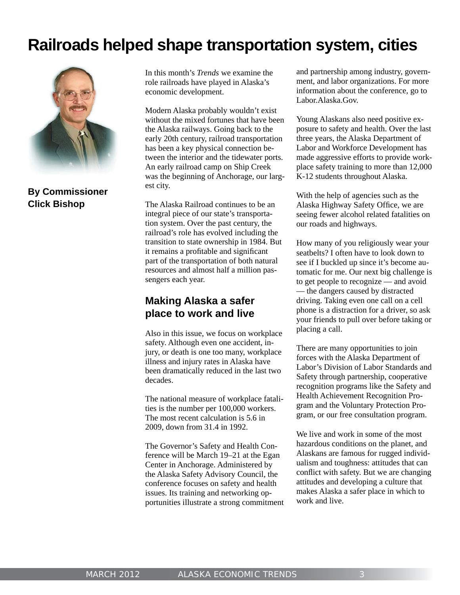### **Railroads helped shape transportation system, cities**



**By Commissioner Click Bishop**

In this month's *Trends* we examine the role railroads have played in Alaska's economic development.

Modern Alaska probably wouldn't exist without the mixed fortunes that have been the Alaska railways. Going back to the early 20th century, railroad transportation has been a key physical connection between the interior and the tidewater ports. An early railroad camp on Ship Creek was the beginning of Anchorage, our largest city.

The Alaska Railroad continues to be an integral piece of our state's transportation system. Over the past century, the railroad's role has evolved including the transition to state ownership in 1984. But it remains a profitable and significant part of the transportation of both natural resources and almost half a million passengers each year.

#### **Making Alaska a safer place to work and live**

Also in this issue, we focus on workplace safety. Although even one accident, injury, or death is one too many, workplace illness and injury rates in Alaska have been dramatically reduced in the last two decades.

The national measure of workplace fatalities is the number per 100,000 workers. The most recent calculation is 5.6 in 2009, down from 31.4 in 1992.

The Governor's Safety and Health Conference will be March 19–21 at the Egan Center in Anchorage. Administered by the Alaska Safety Advisory Council, the conference focuses on safety and health issues. Its training and networking opportunities illustrate a strong commitment and partnership among industry, government, and labor organizations. For more information about the conference, go to Labor.Alaska.Gov.

Young Alaskans also need positive exposure to safety and health. Over the last three years, the Alaska Department of Labor and Workforce Development has made aggressive efforts to provide workplace safety training to more than 12,000 K-12 students throughout Alaska.

With the help of agencies such as the Alaska Highway Safety Office, we are seeing fewer alcohol related fatalities on our roads and highways.

How many of you religiously wear your seatbelts? I often have to look down to see if I buckled up since it's become automatic for me. Our next big challenge is to get people to recognize — and avoid — the dangers caused by distracted driving. Taking even one call on a cell phone is a distraction for a driver, so ask your friends to pull over before taking or placing a call.

There are many opportunities to join forces with the Alaska Department of Labor's Division of Labor Standards and Safety through partnership, cooperative recognition programs like the Safety and Health Achievement Recognition Program and the Voluntary Protection Program, or our free consultation program.

We live and work in some of the most hazardous conditions on the planet, and Alaskans are famous for rugged individualism and toughness: attitudes that can conflict with safety. But we are changing attitudes and developing a culture that makes Alaska a safer place in which to work and live.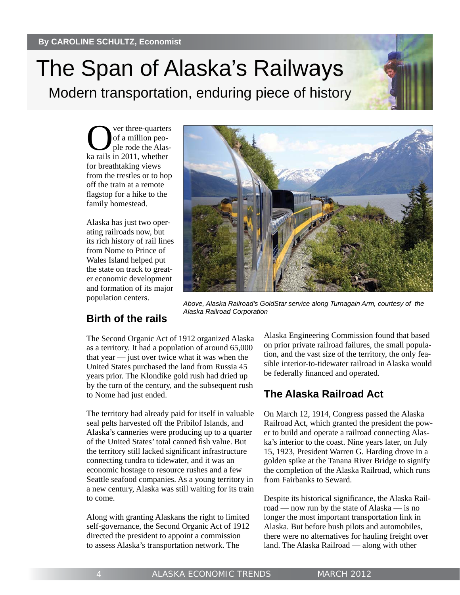## The Span of Alaska's Railways

Modern transportation, enduring piece of history

Ver three-quarters<br>
of a million peo-<br>
ple rode the Alasof a million people rode the Alaska rails in 2011, whether for breathtaking views from the trestles or to hop off the train at a remote flagstop for a hike to the family homestead.

Alaska has just two operating railroads now, but its rich history of rail lines from Nome to Prince of Wales Island helped put the state on track to greater economic development and formation of its major population centers.



*Above, Alaska Railroad's GoldStar service along Turnagain Arm, courtesy of the Alaska Railroad Corporation*

#### **Birth of the rails**

The Second Organic Act of 1912 organized Alaska as a territory. It had a population of around 65,000 that year — just over twice what it was when the United States purchased the land from Russia 45 years prior. The Klondike gold rush had dried up by the turn of the century, and the subsequent rush to Nome had just ended.

The territory had already paid for itself in valuable seal pelts harvested off the Pribilof Islands, and Alaska's canneries were producing up to a quarter of the United States' total canned fish value. But the territory still lacked significant infrastructure connecting tundra to tidewater, and it was an economic hostage to resource rushes and a few Seattle seafood companies. As a young territory in a new century, Alaska was still waiting for its train to come.

Along with granting Alaskans the right to limited self-governance, the Second Organic Act of 1912 directed the president to appoint a commission to assess Alaska's transportation network. The

Alaska Engineering Commission found that based on prior private railroad failures, the small population, and the vast size of the territory, the only feasible interior-to-tidewater railroad in Alaska would be federally financed and operated.

#### **The Alaska Railroad Act**

On March 12, 1914, Congress passed the Alaska Railroad Act, which granted the president the power to build and operate a railroad connecting Alaska's interior to the coast. Nine years later, on July 15, 1923, President Warren G. Harding drove in a golden spike at the Tanana River Bridge to signify the completion of the Alaska Railroad, which runs from Fairbanks to Seward.

Despite its historical significance, the Alaska Railroad — now run by the state of Alaska — is no longer the most important transportation link in Alaska. But before bush pilots and automobiles, there were no alternatives for hauling freight over land. The Alaska Railroad — along with other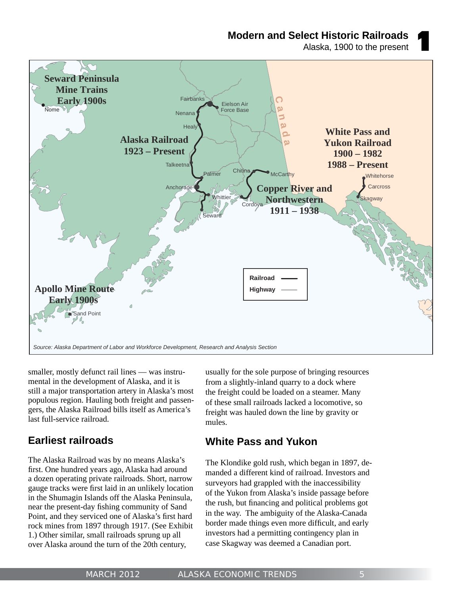**Modern and Select Historic Railroads**

Alaska, 1900 to the present



smaller, mostly defunct rail lines — was instrumental in the development of Alaska, and it is still a major transportation artery in Alaska's most populous region. Hauling both freight and passengers, the Alaska Railroad bills itself as America's last full-service railroad.

#### **Earliest railroads**

The Alaska Railroad was by no means Alaska's first. One hundred years ago, Alaska had around a dozen operating private railroads. Short, narrow gauge tracks were first laid in an unlikely location in the Shumagin Islands off the Alaska Peninsula, near the present-day fishing community of Sand Point, and they serviced one of Alaska's first hard rock mines from 1897 through 1917. (See Exhibit 1.) Other similar, small railroads sprung up all over Alaska around the turn of the 20th century,

usually for the sole purpose of bringing resources from a slightly-inland quarry to a dock where the freight could be loaded on a steamer. Many of these small railroads lacked a locomotive, so freight was hauled down the line by gravity or mules.

#### **White Pass and Yukon**

The Klondike gold rush, which began in 1897, demanded a different kind of railroad. Investors and surveyors had grappled with the inaccessibility of the Yukon from Alaska's inside passage before the rush, but financing and political problems got in the way. The ambiguity of the Alaska-Canada border made things even more difficult, and early investors had a permitting contingency plan in case Skagway was deemed a Canadian port.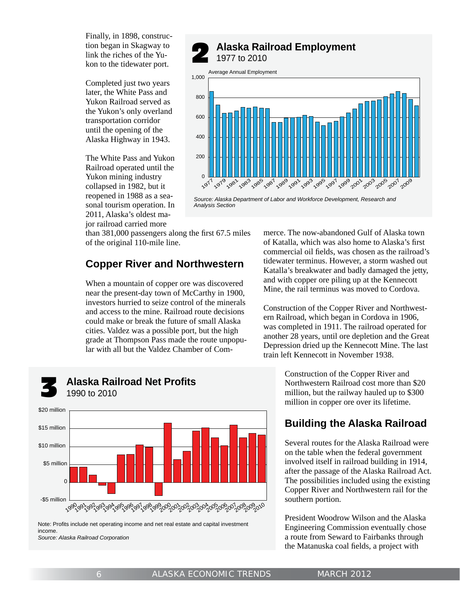Finally, in 1898, construction began in Skagway to link the riches of the Yukon to the tidewater port.

Completed just two years later, the White Pass and Yukon Railroad served as the Yukon's only overland transportation corridor until the opening of the Alaska Highway in 1943.

The White Pass and Yukon Railroad operated until the Yukon mining industry collapsed in 1982, but it reopened in 1988 as a seasonal tourism operation. In 2011, Alaska's oldest major railroad carried more

**Alaska Railroad Employment**<br>1977 to 2010



*Source: Alaska Department of Labor and Workforce Development, Research and Analysis Section*

than  $381,000$  passengers along the first  $67.5$  miles of the original 110-mile line.

#### **Copper River and Northwestern**

When a mountain of copper ore was discovered near the present-day town of McCarthy in 1900, investors hurried to seize control of the minerals and access to the mine. Railroad route decisions could make or break the future of small Alaska cities. Valdez was a possible port, but the high grade at Thompson Pass made the route unpopular with all but the Valdez Chamber of Com-

## **Alaska Railroad Net Profits**<br>1990 to 2010



Note: Profits include net operating income and net real estate and capital investment income. *Source: Alaska Railroad Corporation*

merce. The now-abandoned Gulf of Alaska town of Katalla, which was also home to Alaska's first commercial oil fields, was chosen as the railroad's tidewater terminus. However, a storm washed out Katalla's breakwater and badly damaged the jetty, and with copper ore piling up at the Kennecott Mine, the rail terminus was moved to Cordova.

Construction of the Copper River and Northwestern Railroad, which began in Cordova in 1906, was completed in 1911. The railroad operated for another 28 years, until ore depletion and the Great Depression dried up the Kennecott Mine. The last train left Kennecott in November 1938.

> Construction of the Copper River and Northwestern Railroad cost more than \$20 million, but the railway hauled up to \$300 million in copper ore over its lifetime.

#### **Building the Alaska Railroad**

Several routes for the Alaska Railroad were on the table when the federal government involved itself in railroad building in 1914, after the passage of the Alaska Railroad Act. The possibilities included using the existing Copper River and Northwestern rail for the southern portion.

President Woodrow Wilson and the Alaska Engineering Commission eventually chose a route from Seward to Fairbanks through the Matanuska coal fields, a project with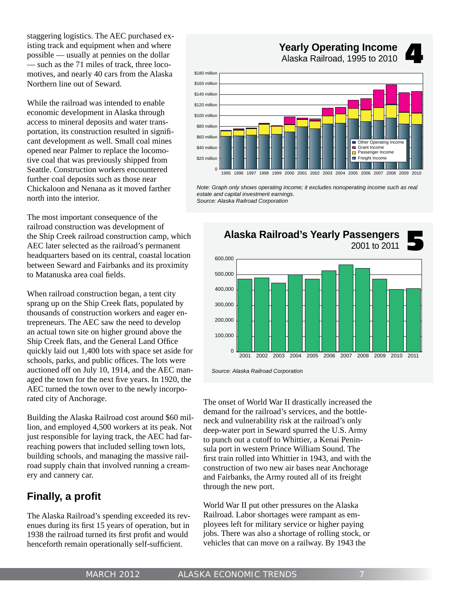staggering logistics. The AEC purchased existing track and equipment when and where possible — usually at pennies on the dollar — such as the 71 miles of track, three locomotives, and nearly 40 cars from the Alaska Northern line out of Seward.

While the railroad was intended to enable economic development in Alaska through access to mineral deposits and water transportation, its construction resulted in significant development as well. Small coal mines opened near Palmer to replace the locomotive coal that was previously shipped from Seattle. Construction workers encountered further coal deposits such as those near Chickaloon and Nenana as it moved farther north into the interior.

\$20 millio

The most important consequence of the railroad construction was development of the Ship Creek railroad construction camp, which AEC later selected as the railroad's permanent headquarters based on its central, coastal location between Seward and Fairbanks and its proximity to Matanuska area coal fields.

When railroad construction began, a tent city sprang up on the Ship Creek flats, populated by thousands of construction workers and eager entrepreneurs. The AEC saw the need to develop an actual town site on higher ground above the Ship Creek flats, and the General Land Office quickly laid out 1,400 lots with space set aside for schools, parks, and public offices. The lots were auctioned off on July 10, 1914, and the AEC managed the town for the next five years. In 1920, the AEC turned the town over to the newly incorporated city of Anchorage.

Building the Alaska Railroad cost around \$60 million, and employed 4,500 workers at its peak. Not just responsible for laying track, the AEC had farreaching powers that included selling town lots, building schools, and managing the massive railroad supply chain that involved running a creamery and cannery car.

#### **Finally, a profi t**

The Alaska Railroad's spending exceeded its revenues during its first 15 years of operation, but in 1938 the railroad turned its first profit and would henceforth remain operationally self-sufficient.

**Yearly Operating Income**<br>Alaska Railroad, 1995 to 2010 \$40 million \$60 million \$80 million \$100 million \$120 million \$140 million \$160 million \$180 million **Passenger Income** Other Operating In Grant Income

*Note: Graph only shows operating income; it excludes nonoperating income such as real estate and capital investment earnings. Source: Alaska Railroad Corporation*

1995 1996 1997 1998 1999 2000 2001 2002 2003 2004 2005 2006 2007 2008 2009 2010 <sup>0</sup>

Freight Incom



The onset of World War II drastically increased the demand for the railroad's services, and the bottleneck and vulnerability risk at the railroad's only deep-water port in Seward spurred the U.S. Army to punch out a cutoff to Whittier, a Kenai Peninsula port in western Prince William Sound. The first train rolled into Whittier in 1943, and with the construction of two new air bases near Anchorage and Fairbanks, the Army routed all of its freight through the new port.

World War II put other pressures on the Alaska Railroad. Labor shortages were rampant as employees left for military service or higher paying jobs. There was also a shortage of rolling stock, or vehicles that can move on a railway. By 1943 the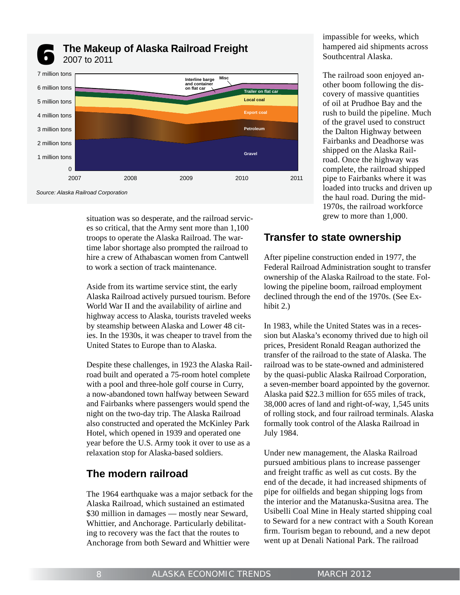



*Source: Alaska Railroad Corporation*

situation was so desperate, and the railroad services so critical, that the Army sent more than 1,100 troops to operate the Alaska Railroad. The wartime labor shortage also prompted the railroad to hire a crew of Athabascan women from Cantwell to work a section of track maintenance.

Aside from its wartime service stint, the early Alaska Railroad actively pursued tourism. Before World War II and the availability of airline and highway access to Alaska, tourists traveled weeks by steamship between Alaska and Lower 48 cities. In the 1930s, it was cheaper to travel from the United States to Europe than to Alaska.

Despite these challenges, in 1923 the Alaska Railroad built and operated a 75-room hotel complete with a pool and three-hole golf course in Curry, a now-abandoned town halfway between Seward and Fairbanks where passengers would spend the night on the two-day trip. The Alaska Railroad also constructed and operated the McKinley Park Hotel, which opened in 1939 and operated one year before the U.S. Army took it over to use as a relaxation stop for Alaska-based soldiers.

#### **The modern railroad**

The 1964 earthquake was a major setback for the Alaska Railroad, which sustained an estimated \$30 million in damages — mostly near Seward, Whittier, and Anchorage. Particularly debilitating to recovery was the fact that the routes to Anchorage from both Seward and Whittier were

impassible for weeks, which hampered aid shipments across Southcentral Alaska.

The railroad soon enjoyed another boom following the discovery of massive quantities of oil at Prudhoe Bay and the rush to build the pipeline. Much of the gravel used to construct the Dalton Highway between Fairbanks and Deadhorse was shipped on the Alaska Railroad. Once the highway was complete, the railroad shipped pipe to Fairbanks where it was loaded into trucks and driven up the haul road. During the mid-1970s, the railroad workforce grew to more than 1,000.

#### **Transfer to state ownership**

After pipeline construction ended in 1977, the Federal Railroad Administration sought to transfer ownership of the Alaska Railroad to the state. Following the pipeline boom, railroad employment declined through the end of the 1970s. (See Exhibit 2.)

In 1983, while the United States was in a recession but Alaska's economy thrived due to high oil prices, President Ronald Reagan authorized the transfer of the railroad to the state of Alaska. The railroad was to be state-owned and administered by the quasi-public Alaska Railroad Corporation, a seven-member board appointed by the governor. Alaska paid \$22.3 million for 655 miles of track, 38,000 acres of land and right-of-way, 1,545 units of rolling stock, and four railroad terminals. Alaska formally took control of the Alaska Railroad in July 1984.

Under new management, the Alaska Railroad pursued ambitious plans to increase passenger and freight traffic as well as cut costs. By the end of the decade, it had increased shipments of pipe for oilfields and began shipping logs from the interior and the Matanuska-Susitna area. The Usibelli Coal Mine in Healy started shipping coal to Seward for a new contract with a South Korean firm. Tourism began to rebound, and a new depot went up at Denali National Park. The railroad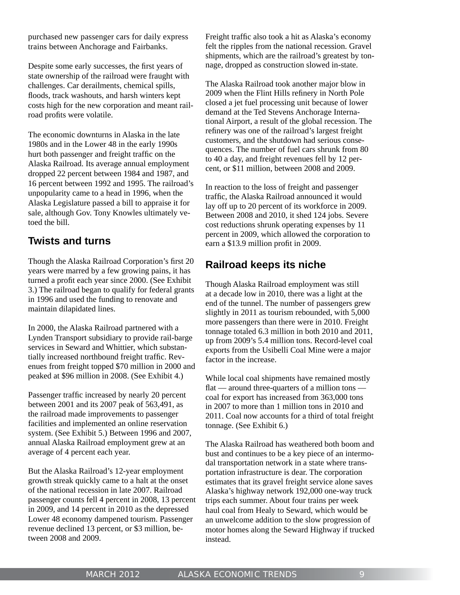purchased new passenger cars for daily express trains between Anchorage and Fairbanks.

Despite some early successes, the first years of state ownership of the railroad were fraught with challenges. Car derailments, chemical spills, floods, track washouts, and harsh winters kept costs high for the new corporation and meant railroad profits were volatile.

The economic downturns in Alaska in the late 1980s and in the Lower 48 in the early 1990s hurt both passenger and freight traffic on the Alaska Railroad. Its average annual employment dropped 22 percent between 1984 and 1987, and 16 percent between 1992 and 1995. The railroad's unpopularity came to a head in 1996, when the Alaska Legislature passed a bill to appraise it for sale, although Gov. Tony Knowles ultimately vetoed the bill.

#### **Twists and turns**

Though the Alaska Railroad Corporation's first 20 years were marred by a few growing pains, it has turned a profit each year since 2000. (See Exhibit 3.) The railroad began to qualify for federal grants in 1996 and used the funding to renovate and maintain dilapidated lines.

In 2000, the Alaska Railroad partnered with a Lynden Transport subsidiary to provide rail-barge services in Seward and Whittier, which substantially increased northbound freight traffic. Revenues from freight topped \$70 million in 2000 and peaked at \$96 million in 2008. (See Exhibit 4.)

Passenger traffic increased by nearly 20 percent between 2001 and its 2007 peak of 563,491, as the railroad made improvements to passenger facilities and implemented an online reservation system. (See Exhibit 5.) Between 1996 and 2007, annual Alaska Railroad employment grew at an average of 4 percent each year.

But the Alaska Railroad's 12-year employment growth streak quickly came to a halt at the onset of the national recession in late 2007. Railroad passenger counts fell 4 percent in 2008, 13 percent in 2009, and 14 percent in 2010 as the depressed Lower 48 economy dampened tourism. Passenger revenue declined 13 percent, or \$3 million, between 2008 and 2009.

Freight traffic also took a hit as Alaska's economy felt the ripples from the national recession. Gravel shipments, which are the railroad's greatest by tonnage, dropped as construction slowed in-state.

The Alaska Railroad took another major blow in 2009 when the Flint Hills refinery in North Pole closed a jet fuel processing unit because of lower demand at the Ted Stevens Anchorage International Airport, a result of the global recession. The refinery was one of the railroad's largest freight customers, and the shutdown had serious consequences. The number of fuel cars shrunk from 80 to 40 a day, and freight revenues fell by 12 percent, or \$11 million, between 2008 and 2009.

In reaction to the loss of freight and passenger traffic, the Alaska Railroad announced it would lay off up to 20 percent of its workforce in 2009. Between 2008 and 2010, it shed 124 jobs. Severe cost reductions shrunk operating expenses by 11 percent in 2009, which allowed the corporation to earn a \$13.9 million profit in 2009.

#### **Railroad keeps its niche**

Though Alaska Railroad employment was still at a decade low in 2010, there was a light at the end of the tunnel. The number of passengers grew slightly in 2011 as tourism rebounded, with 5,000 more passengers than there were in 2010. Freight tonnage totaled 6.3 million in both 2010 and 2011, up from 2009's 5.4 million tons. Record-level coal exports from the Usibelli Coal Mine were a major factor in the increase.

While local coal shipments have remained mostly flat — around three-quarters of a million tons coal for export has increased from 363,000 tons in 2007 to more than 1 million tons in 2010 and 2011. Coal now accounts for a third of total freight tonnage. (See Exhibit 6.)

The Alaska Railroad has weathered both boom and bust and continues to be a key piece of an intermodal transportation network in a state where transportation infrastructure is dear. The corporation estimates that its gravel freight service alone saves Alaska's highway network 192,000 one-way truck trips each summer. About four trains per week haul coal from Healy to Seward, which would be an unwelcome addition to the slow progression of motor homes along the Seward Highway if trucked instead.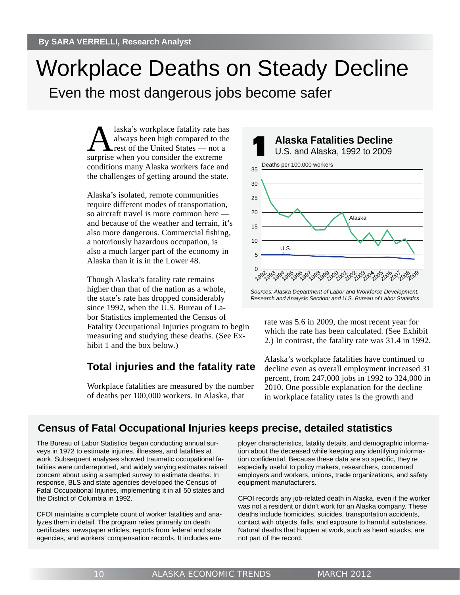## Workplace Deaths on Steady Decline

Even the most dangerous jobs become safer

Alaska's workplace fatality rate has<br>always been high compared to the<br>rest of the United States — not a always been high compared to the rest of the United States — not a surprise when you consider the extreme conditions many Alaska workers face and the challenges of getting around the state.

Alaska's isolated, remote communities require different modes of transportation, so aircraft travel is more common here and because of the weather and terrain, it's also more dangerous. Commercial fishing, a notoriously hazardous occupation, is also a much larger part of the economy in Alaska than it is in the Lower 48.

Though Alaska's fatality rate remains higher than that of the nation as a whole, the state's rate has dropped considerably since 1992, when the U.S. Bureau of Labor Statistics implemented the Census of Fatality Occupational Injuries program to begin measuring and studying these deaths. (See Exhibit 1 and the box below.)

#### **Total injuries and the fatality rate**

Workplace fatalities are measured by the number of deaths per 100,000 workers. In Alaska, that



*Research and Analysis Section; and U.S. Bureau of Labor Statistics*

rate was 5.6 in 2009, the most recent year for which the rate has been calculated. (See Exhibit 2.) In contrast, the fatality rate was 31.4 in 1992.

Alaska's workplace fatalities have continued to decline even as overall employment increased 31 percent, from 247,000 jobs in 1992 to 324,000 in 2010. One possible explanation for the decline in workplace fatality rates is the growth and

#### **Census of Fatal Occupational Injuries keeps precise, detailed statistics**

The Bureau of Labor Statistics began conducting annual surveys in 1972 to estimate injuries, illnesses, and fatalities at work. Subsequent analyses showed traumatic occupational fatalities were underreported, and widely varying estimates raised concern about using a sampled survey to estimate deaths. In response, BLS and state agencies developed the Census of Fatal Occupational Injuries, implementing it in all 50 states and the District of Columbia in 1992.

CFOI maintains a complete count of worker fatalities and analyzes them in detail. The program relies primarily on death certificates, newspaper articles, reports from federal and state agencies, and workers' compensation records. It includes employer characteristics, fatality details, and demographic information about the deceased while keeping any identifying information confidential. Because these data are so specific, they're especially useful to policy makers, researchers, concerned employers and workers, unions, trade organizations, and safety equipment manufacturers.

CFOI records any job-related death in Alaska, even if the worker was not a resident or didn't work for an Alaska company. These deaths include homicides, suicides, transportation accidents, contact with objects, falls, and exposure to harmful substances. Natural deaths that happen at work, such as heart attacks, are not part of the record.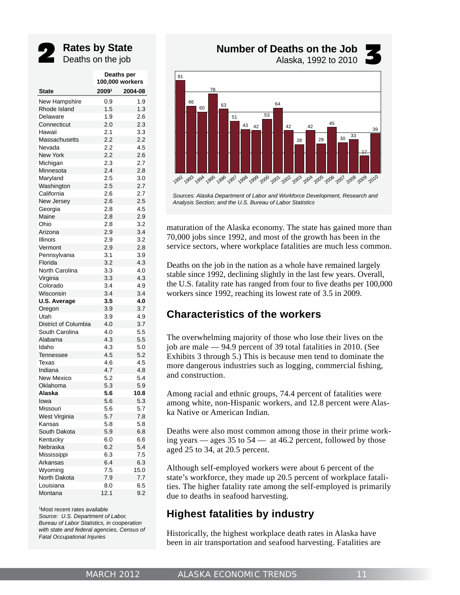

## **Rates by State**<br> **Deaths on the job**

|                      | Deaths per<br>100,000 workers |         |  |  |
|----------------------|-------------------------------|---------|--|--|
| <b>State</b>         | 20091                         | 2004-08 |  |  |
| New Hampshire        | 0.9                           | 1.9     |  |  |
| Rhode Island         | 1.5                           | 1.3     |  |  |
| Delaware             | 1.9                           | 2.6     |  |  |
| Connecticut          | 2.0                           | 2.3     |  |  |
| Hawaii               | 2.1                           | 3.3     |  |  |
| Massachusetts        | 2.2                           | 2.2     |  |  |
| Nevada               | 2.2                           | 4.5     |  |  |
| <b>New York</b>      | 2.2                           | 2.6     |  |  |
| Michigan             | 2.3                           | 2.7     |  |  |
| Minnesota            | 2.4                           | 2.8     |  |  |
| Maryland             | 2.5                           | 3.0     |  |  |
| Washington           | 2.5                           | 2.7     |  |  |
| California           | 2.6                           | 2.7     |  |  |
| New Jersey           | 2.6                           | 2.5     |  |  |
| Georgia              | 2.8                           | 4.5     |  |  |
| Maine                | 2.8                           | 2.9     |  |  |
| Ohio                 | 2.8                           | 3.2     |  |  |
| Arizona              | 2.9                           | 3.4     |  |  |
| <b>Illinois</b>      | 2.9                           | 3.2     |  |  |
| Vermont              | 2.9                           | 2.8     |  |  |
| Pennsylvania         | 3.1                           | 3.9     |  |  |
| Florida              | 3.2                           | 4.3     |  |  |
| North Carolina       | 3.3                           | 4.0     |  |  |
| Virginia             | 3.3                           | 4.3     |  |  |
| Colorado             | 3.4                           | 4.9     |  |  |
| Wisconsin            | 3.4                           | 3.4     |  |  |
| <b>U.S. Average</b>  | 3.5                           | 4.0     |  |  |
| Oregon               | 3.9                           | 3.7     |  |  |
| Utah                 | 3.9                           | 4.9     |  |  |
| District of Columbia | 4.0                           | 3.7     |  |  |
| South Carolina       | 4.0                           | 5.5     |  |  |
| Alabama              | 4.3                           | 5.5     |  |  |
| Idaho                | 4.3                           | 5.0     |  |  |
| Tennessee            | 4.5                           | 5.2     |  |  |
| Texas                | 4.6                           | 4.5     |  |  |
| Indiana              | 4.7                           | 4.8     |  |  |
| <b>New Mexico</b>    | 5.2                           | 5.4     |  |  |
| Oklahoma             | 5.3                           | 5.9     |  |  |
| Alaska               | 5.6                           | 10.8    |  |  |
| lowa                 | 5.6                           | 5.3     |  |  |
| Missouri             | 5.6                           | 5.7     |  |  |
| West Virginia        | 5.7                           | 7.8     |  |  |
| Kansas               | 5.8                           | 5.8     |  |  |
| South Dakota         | 5.9                           | 6.8     |  |  |
| Kentucky             | 6.0                           | 6.6     |  |  |
| Nebraska             | 6.2                           | 5.4     |  |  |
| Mississippi          | 6.3                           | 7.5     |  |  |
| Arkansas             | 6.4                           | 6.3     |  |  |
| Wyoming              | 7.5                           | 15.0    |  |  |
| North Dakota         | 7.9                           | 7.7     |  |  |
| Louisiana            | 8.0                           | 6.5     |  |  |
| Montana              | 12.1                          | 9.2     |  |  |

1 Most recent rates available *Source: U.S. Department of Labor, Bureau of Labor Statistics, in cooperation with state and federal agencies, Census of Fatal Occupational Injuries*

**Number of Deaths on the Job**<br>Alaska, 1992 to 2010



*Sources: Alaska Department of Labor and Workforce Development, Research and Analysis Section; and the U.S. Bureau of Labor Statistics*

maturation of the Alaska economy. The state has gained more than 70,000 jobs since 1992, and most of the growth has been in the service sectors, where workplace fatalities are much less common.

Deaths on the job in the nation as a whole have remained largely stable since 1992, declining slightly in the last few years. Overall, the U.S. fatality rate has ranged from four to five deaths per 100,000 workers since 1992, reaching its lowest rate of 3.5 in 2009.

#### **Characteristics of the workers**

The overwhelming majority of those who lose their lives on the job are male — 94.9 percent of 39 total fatalities in 2010. (See Exhibits 3 through 5.) This is because men tend to dominate the more dangerous industries such as logging, commercial fishing, and construction.

Among racial and ethnic groups, 74.4 percent of fatalities were among white, non-Hispanic workers, and 12.8 percent were Alaska Native or American Indian.

Deaths were also most common among those in their prime working years — ages 35 to 54 — at 46.2 percent, followed by those aged 25 to 34, at 20.5 percent.

Although self-employed workers were about 6 percent of the state's workforce, they made up 20.5 percent of workplace fatalities. The higher fatality rate among the self-employed is primarily due to deaths in seafood harvesting.

#### **Highest fatalities by industry**

Historically, the highest workplace death rates in Alaska have been in air transportation and seafood harvesting. Fatalities are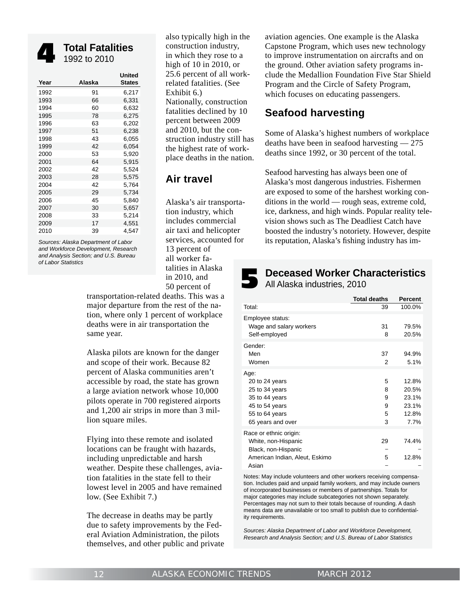

**Total Fatalities**<br>1992 to 2010

| Year | Alaska | United<br><b>States</b> |
|------|--------|-------------------------|
| 1992 | 91     | 6,217                   |
| 1993 | 66     | 6,331                   |
| 1994 | 60     | 6,632                   |
| 1995 | 78     | 6,275                   |
| 1996 | 63     | 6,202                   |
| 1997 | 51     | 6,238                   |
| 1998 | 43     | 6,055                   |
| 1999 | 42     | 6,054                   |
| 2000 | 53     | 5,920                   |
| 2001 | 64     | 5,915                   |
| 2002 | 42     | 5,524                   |
| 2003 | 28     | 5,575                   |
| 2004 | 42     | 5,764                   |
| 2005 | 29     | 5,734                   |
| 2006 | 45     | 5,840                   |
| 2007 | 30     | 5,657                   |
| 2008 | 33     | 5,214                   |
| 2009 | 17     | 4,551                   |
| 2010 | 39     | 4.547                   |
|      |        |                         |

*Sources: Alaska Department of Labor and Workforce Development, Research and Analysis Section; and U.S. Bureau of Labor Statistics*

also typically high in the construction industry, in which they rose to a high of 10 in 2010, or 25.6 percent of all workrelated fatalities. (See Exhibit 6.) Nationally, construction fatalities declined by 10 percent between 2009 and 2010, but the construction industry still has the highest rate of workplace deaths in the nation.

#### **Air travel**

Alaska's air transportation industry, which includes commercial air taxi and helicopter services, accounted for 13 percent of all worker fatalities in Alaska in 2010, and 50 percent of

transportation-related deaths. This was a major departure from the rest of the nation, where only 1 percent of workplace deaths were in air transportation the same year.

Alaska pilots are known for the danger and scope of their work. Because 82 percent of Alaska communities aren't accessible by road, the state has grown a large aviation network whose 10,000 pilots operate in 700 registered airports and 1,200 air strips in more than 3 million square miles.

Flying into these remote and isolated locations can be fraught with hazards, including unpredictable and harsh weather. Despite these challenges, aviation fatalities in the state fell to their lowest level in 2005 and have remained low. (See Exhibit 7.)

The decrease in deaths may be partly due to safety improvements by the Federal Aviation Administration, the pilots themselves, and other public and private aviation agencies. One example is the Alaska Capstone Program, which uses new technology to improve instrumentation on aircrafts and on the ground. Other aviation safety programs include the Medallion Foundation Five Star Shield Program and the Circle of Safety Program, which focuses on educating passengers.

#### **Seafood harvesting**

Some of Alaska's highest numbers of workplace deaths have been in seafood harvesting — 275 deaths since 1992, or 30 percent of the total.

Seafood harvesting has always been one of Alaska's most dangerous industries. Fishermen are exposed to some of the harshest working conditions in the world — rough seas, extreme cold, ice, darkness, and high winds. Popular reality television shows such as The Deadliest Catch have boosted the industry's notoriety. However, despite its reputation, Alaska's fishing industry has im-

**Deceased Worker Characteristics**<br>All Alaska industries, 2010

|                                                                                                                     | <b>Total deaths</b>        | <b>Percent</b>                                    |
|---------------------------------------------------------------------------------------------------------------------|----------------------------|---------------------------------------------------|
| Total:                                                                                                              | 39                         | 100.0%                                            |
| Employee status:<br>Wage and salary workers<br>Self-employed                                                        | 31<br>8                    | 79.5%<br>20.5%                                    |
| Gender:<br>Men<br>Women                                                                                             | 37<br>2                    | 94.9%<br>5.1%                                     |
| Age:<br>20 to 24 years<br>25 to 34 years<br>35 to 44 years<br>45 to 54 years<br>55 to 64 years<br>65 years and over | 5<br>8<br>9<br>9<br>5<br>3 | 12.8%<br>20.5%<br>23.1%<br>23.1%<br>12.8%<br>7.7% |
| Race or ethnic origin:<br>White, non-Hispanic<br>Black, non-Hispanic<br>American Indian, Aleut, Eskimo<br>Asian     | 29<br>5                    | 74.4%<br>12.8%                                    |

Notes: May include volunteers and other workers receiving compensation. Includes paid and unpaid family workers, and may include owners of incorporated businesses or members of partnerships. Totals for major categories may include subcategories not shown separately. Percentages may not sum to their totals because of rounding. A dash means data are unavailable or too small to publish due to confidentiality requirements.

*Sources: Alaska Department of Labor and Workforce Development, Research and Analysis Section; and U.S. Bureau of Labor Statistics*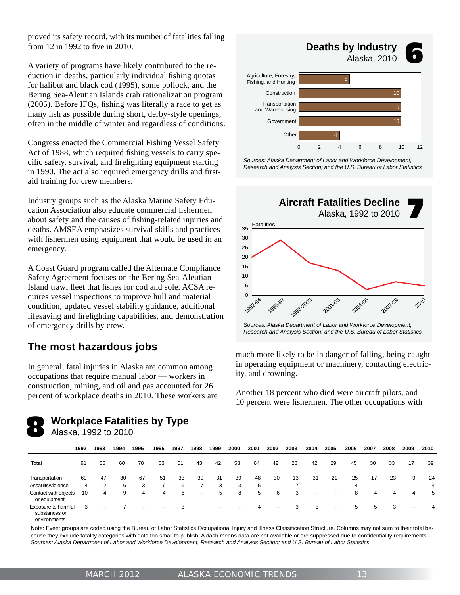proved its safety record, with its number of fatalities falling from  $12$  in 1992 to five in 2010.

A variety of programs have likely contributed to the reduction in deaths, particularly individual fishing quotas for halibut and black cod (1995), some pollock, and the Bering Sea-Aleutian Islands crab rationalization program  $(2005)$ . Before IFQs, fishing was literally a race to get as many fish as possible during short, derby-style openings, often in the middle of winter and regardless of conditions.

Congress enacted the Commercial Fishing Vessel Safety Act of 1988, which required fishing vessels to carry specific safety, survival, and firefighting equipment starting in 1990. The act also required emergency drills and firstaid training for crew members.

Industry groups such as the Alaska Marine Safety Education Association also educate commercial fishermen about safety and the causes of fishing-related injuries and deaths. AMSEA emphasizes survival skills and practices with fishermen using equipment that would be used in an emergency.

A Coast Guard program called the Alternate Compliance Safety Agreement focuses on the Bering Sea-Aleutian Island trawl fleet that fishes for cod and sole. ACSA requires vessel inspections to improve hull and material condition, updated vessel stability guidance, additional lifesaving and firefighting capabilities, and demonstration of emergency drills by crew.

#### **The most hazardous jobs**

In general, fatal injuries in Alaska are common among occupations that require manual labor — workers in construction, mining, and oil and gas accounted for 26 percent of workplace deaths in 2010. These workers are



**Workplace Fatalities by Type**<br>Alaska, 1992 to 2010





*Sources: Alaska Department of Labor and Workforce Development, Research and Analysis Section; and the U.S. Bureau of Labor Statistics*



*Research and Analysis Section; and the U.S. Bureau of Labor Statistics*

much more likely to be in danger of falling, being caught in operating equipment or machinery, contacting electricity, and drowning.

Another 18 percent who died were aircraft pilots, and 10 percent were fishermen. The other occupations with

|                                                      | 1992 | 1993 | 1994 | 1995 | 1996                     | 1997 | 1998            | 1999 | 2000 | 2001 | 2002                     | 2003 | 2004              | 2005                     | 2006 | 2007 | 2008 | 2009                     | 2010 |
|------------------------------------------------------|------|------|------|------|--------------------------|------|-----------------|------|------|------|--------------------------|------|-------------------|--------------------------|------|------|------|--------------------------|------|
| Total                                                | 91   | 66   | 60   | 78   | 63                       | 51   | 43              | 42   | 53   | 64   | 42                       | 28   | 42                | 29                       | 45   | 30   | 33   | 17                       | 39   |
| Transportation                                       | 69   | 47   | 30   | 67   | 51                       | 33   | 30              | 31   | 39   | 48   | 30                       | 13   | 31                | 21                       | 25   | 17   | 23   | 9                        | 24   |
| Assaults/violence                                    | 4    | 12   | 6    | 3    | 6                        | 6    |                 | 3    | 3    | 5    | $\overline{\phantom{m}}$ |      | -                 | -                        | 4    |      |      | -                        | 4    |
| Contact with objects<br>or equipment                 | 10   | 4    | 9    | 4    | 4                        | 6    | $\qquad \qquad$ | 5    | 8    | 5    | 6                        | 3    | $\qquad \qquad -$ | -                        | 8    | 4    | 4    | 4                        | 5    |
| Exposure to harmful<br>substances or<br>environments | 3    | -    |      | -    | $\overline{\phantom{0}}$ | 3    | $- -$           |      |      |      | $\overline{\phantom{m}}$ | 3    | 3                 | $\overline{\phantom{0}}$ | 5    | 5    | 3    | $\overline{\phantom{0}}$ | 4    |

Note: Event groups are coded using the Bureau of Labor Statistics Occupational Injury and Illness Classification Structure. Columns may not sum to their total because they exclude fatality categories with data too small to publish. A dash means data are not available or are suppressed due to confidentiality requirements. *Sources: Alaska Department of Labor and Workforce Development, Research and Analysis Section; and U.S. Bureau of Labor Statistics*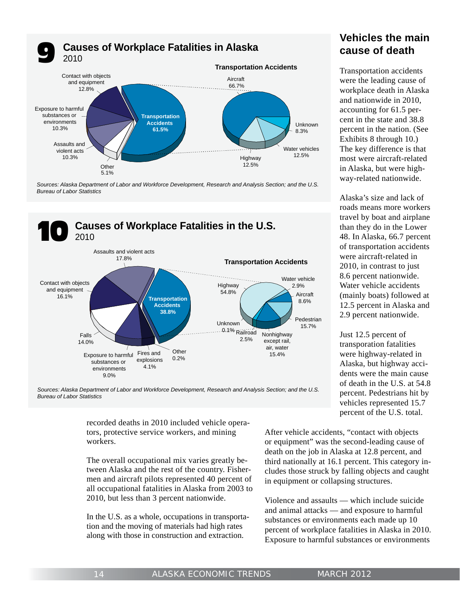

*Sources: Alaska Department of Labor and Workforce Development, Research and Analysis Section; and the U.S. Bureau of Labor Statistics*



*Sources: Alaska Department of Labor and Workforce Development, Research and Analysis Section; and the U.S. Bureau of Labor Statistics*

recorded deaths in 2010 included vehicle operators, protective service workers, and mining workers.

The overall occupational mix varies greatly between Alaska and the rest of the country. Fishermen and aircraft pilots represented 40 percent of all occupational fatalities in Alaska from 2003 to 2010, but less than 3 percent nationwide.

In the U.S. as a whole, occupations in transportation and the moving of materials had high rates along with those in construction and extraction.

#### **Vehicles the main cause of death**

Transportation accidents were the leading cause of workplace death in Alaska and nationwide in 2010, accounting for 61.5 percent in the state and 38.8 percent in the nation. (See Exhibits 8 through 10.) The key difference is that most were aircraft-related in Alaska, but were highway-related nationwide.

Alaska's size and lack of roads means more workers travel by boat and airplane than they do in the Lower 48. In Alaska, 66.7 percent of transportation accidents were aircraft-related in 2010, in contrast to just 8.6 percent nationwide. Water vehicle accidents (mainly boats) followed at 12.5 percent in Alaska and 2.9 percent nationwide.

Just 12.5 percent of transporation fatalities were highway-related in Alaska, but highway accidents were the main cause of death in the U.S. at 54.8 percent. Pedestrians hit by vehicles represented 15.7 percent of the U.S. total.

After vehicle accidents, "contact with objects or equipment" was the second-leading cause of death on the job in Alaska at 12.8 percent, and third nationally at 16.1 percent. This category includes those struck by falling objects and caught in equipment or collapsing structures.

Violence and assaults — which include suicide and animal attacks — and exposure to harmful substances or environments each made up 10 percent of workplace fatalities in Alaska in 2010. Exposure to harmful substances or environments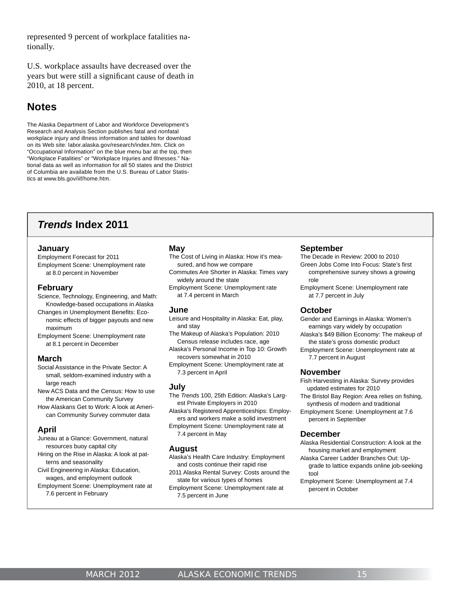represented 9 percent of workplace fatalities nationally.

U.S. workplace assaults have decreased over the years but were still a significant cause of death in 2010, at 18 percent.

#### **Notes**

The Alaska Department of Labor and Workforce Development's Research and Analysis Section publishes fatal and nonfatal workplace injury and illness information and tables for download on its Web site: labor.alaska.gov/research/index.htm. Click on "Occupational Information" on the blue menu bar at the top, then "Workplace Fatalities" or "Workplace Injuries and Illnesses." National data as well as information for all 50 states and the District of Columbia are available from the U.S. Bureau of Labor Statistics at www.bls.gov/iif/home.htm.

#### *Trends* **Index 2011**

#### **January**

Employment Forecast for 2011 Employment Scene: Unemployment rate at 8.0 percent in November

#### **February**

- Science, Technology, Engineering, and Math: Knowledge-based occupations in Alaska
- Changes in Unemployment Benefits: Eco nomic effects of bigger payouts and new maximum
- Employment Scene: Unemployment rate at 8.1 percent in December

#### **March**

- Social Assistance in the Private Sector: A small, seldom-examined industry with a large reach
- New ACS Data and the Census: How to use the American Community Survey
- How Alaskans Get to Work: A look at Ameri can Community Survey commuter data

#### **April**

- Juneau at a Glance: Government, natural resources buoy capital city
- Hiring on the Rise in Alaska: A look at pat terns and seasonality
- Civil Engineering in Alaska: Education, wages, and employment outlook
- Employment Scene: Unemployment rate at 7.6 percent in February

#### **May**

- The Cost of Living in Alaska: How it's mea sured, and how we compare
- Commutes Are Shorter in Alaska: Times vary widely around the state
- Employment Scene: Unemployment rate at 7.4 percent in March

#### **June**

- Leisure and Hospitality in Alaska: Eat, play, and stay
- The Makeup of Alaska's Population: 2010 Census release includes race, age
- Alaska's Personal Income in Top 10: Growth recovers somewhat in 2010
- Employment Scene: Unemployment rate at 7.3 percent in April

#### **July**

The *Trends* 100, 25th Edition: Alaska's Larg est Private Employers in 2010

Alaska's Registered Apprenticeships: Employ ers and workers make a solid investment

Employment Scene: Unemployment rate at 7.4 percent in May

#### **August**

- Alaska's Health Care Industry: Employment and costs continue their rapid rise
- 2011 Alaska Rental Survey: Costs around the state for various types of homes
- Employment Scene: Unemployment rate at 7.5 percent in June

#### **September**

- The Decade in Review: 2000 to 2010
- Green Jobs Come Into Focus: State's first comprehensive survey shows a growing role
- Employment Scene: Unemployment rate at 7.7 percent in July

#### **October**

- Gender and Earnings in Alaska: Women's earnings vary widely by occupation
- Alaska's \$49 Billion Economy: The makeup of the state's gross domestic product
- Employment Scene: Unemployment rate at 7.7 percent in August

#### **November**

- Fish Harvesting in Alaska: Survey provides updated estimates for 2010
- The Bristol Bay Region: Area relies on fishing, synthesis of modern and traditional
- Employment Scene: Unemployment at 7.6 percent in September

#### **December**

- Alaska Residential Construction: A look at the housing market and employment
- Alaska Career Ladder Branches Out: Up grade to lattice expands online job-seeking tool
- Employment Scene: Unemployment at 7.4 percent in October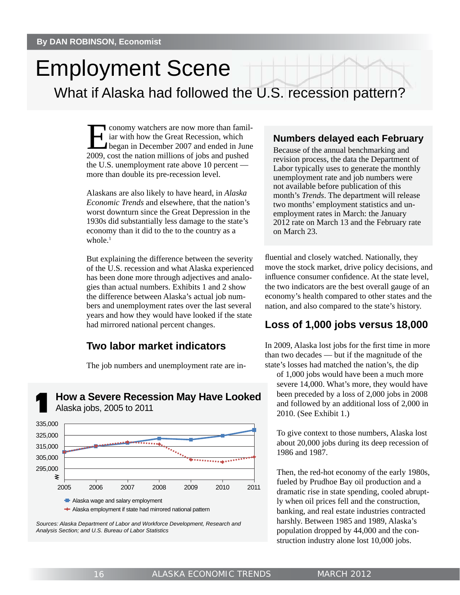## Employment Scene

What if Alaska had followed the U.S. recession pattern?

Economy watchers are now more than familiar vith how the Great Recession, which<br>began in December 2007 and ended in June<br>2009, goet the nation millions of jobs and pushed iar with how the Great Recession, which 2009, cost the nation millions of jobs and pushed the U.S. unemployment rate above 10 percent more than double its pre-recession level.

Alaskans are also likely to have heard, in *Alaska Economic Trends* and elsewhere, that the nation's worst downturn since the Great Depression in the 1930s did substantially less damage to the state's economy than it did to the to the country as a whole. $<sup>1</sup>$ </sup>

But explaining the difference between the severity of the U.S. recession and what Alaska experienced has been done more through adjectives and analogies than actual numbers. Exhibits 1 and 2 show the difference between Alaska's actual job numbers and unemployment rates over the last several years and how they would have looked if the state had mirrored national percent changes.

#### **Two labor market indicators**

The job numbers and unemployment rate are in-

**How a Severe Recession May Have Looked**<br>Alaska jobs, 2005 to 2011



Alaska employment if state had mirrored national pattern



#### **Numbers delayed each February**

Because of the annual benchmarking and revision process, the data the Department of Labor typically uses to generate the monthly unemployment rate and job numbers were not available before publication of this month's *Trends*. The department will release two months' employment statistics and unemployment rates in March: the January 2012 rate on March 13 and the February rate on March 23.

fluential and closely watched. Nationally, they move the stock market, drive policy decisions, and influence consumer confidence. At the state level, the two indicators are the best overall gauge of an economy's health compared to other states and the nation, and also compared to the state's history.

#### **Loss of 1,000 jobs versus 18,000**

In 2009, Alaska lost jobs for the first time in more than two decades — but if the magnitude of the state's losses had matched the nation's, the dip

of 1,000 jobs would have been a much more severe 14,000. What's more, they would have been preceded by a loss of 2,000 jobs in 2008 and followed by an additional loss of 2,000 in 2010. (See Exhibit 1.)

To give context to those numbers, Alaska lost about 20,000 jobs during its deep recession of 1986 and 1987.

Then, the red-hot economy of the early 1980s, fueled by Prudhoe Bay oil production and a dramatic rise in state spending, cooled abruptly when oil prices fell and the construction, banking, and real estate industries contracted harshly. Between 1985 and 1989, Alaska's population dropped by 44,000 and the construction industry alone lost 10,000 jobs.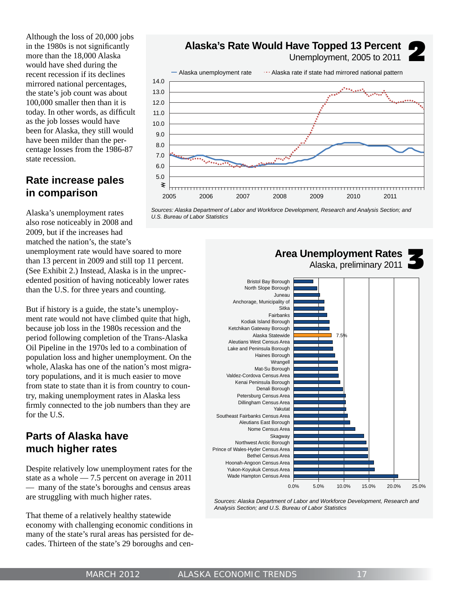Although the loss of 20,000 jobs in the 1980s is not significantly more than the 18,000 Alaska would have shed during the recent recession if its declines mirrored national percentages, the state's job count was about 100,000 smaller then than it is today. In other words, as difficult as the job losses would have been for Alaska, they still would have been milder than the percentage losses from the 1986-87 state recession.

#### **Rate increase pales in comparison**

**Alaska's Rate Would Have Topped 13 Percent** Unemployment, 2005 to 2011 2



*Sources: Alaska Department of Labor and Workforce Development, Research and Analysis Section; and U.S. Bureau of Labor Statistics*

Alaska's unemployment rates also rose noticeably in 2008 and 2009, but if the increases had matched the nation's, the state's

unemployment rate would have soared to more than 13 percent in 2009 and still top 11 percent. (See Exhibit 2.) Instead, Alaska is in the unprecedented position of having noticeably lower rates than the U.S. for three years and counting.

But if history is a guide, the state's unemployment rate would not have climbed quite that high, because job loss in the 1980s recession and the period following completion of the Trans-Alaska Oil Pipeline in the 1970s led to a combination of population loss and higher unemployment. On the whole, Alaska has one of the nation's most migratory populations, and it is much easier to move from state to state than it is from country to country, making unemployment rates in Alaska less firmly connected to the job numbers than they are for the U.S.

#### **Parts of Alaska have much higher rates**

Despite relatively low unemployment rates for the state as a whole — 7.5 percent on average in 2011 — many of the state's boroughs and census areas are struggling with much higher rates.

That theme of a relatively healthy statewide economy with challenging economic conditions in many of the state's rural areas has persisted for decades. Thirteen of the state's 29 boroughs and cen-



*Sources: Alaska Department of Labor and Workforce Development, Research and Analysis Section; and U.S. Bureau of Labor Statistics*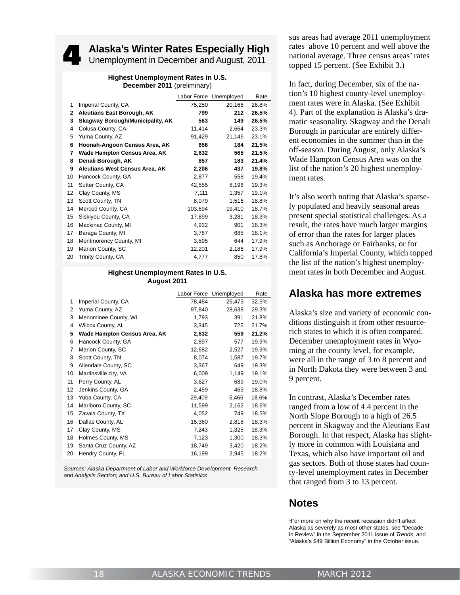## **Alaska's Winter Rates Especially High**<br>
4 Unemployment in December and August, 2011

#### **Highest Unemployment Rates in U.S. December 2011** (preliminary)

|              |                                         |         | Labor Force Unemployed | Rate  |
|--------------|-----------------------------------------|---------|------------------------|-------|
| 1            | Imperial County, CA                     | 75,250  | 20,166                 | 26.8% |
| $\mathbf{2}$ | Aleutians East Borough, AK              | 799     | 212                    | 26.5% |
| 3            | <b>Skagway Borough/Municipality, AK</b> | 563     | 149                    | 26.5% |
| 4            | Colusa County, CA                       | 11,414  | 2,664                  | 23.3% |
| 5            | Yuma County, AZ                         | 91,429  | 21,146                 | 23.1% |
| 6            | Hoonah-Angoon Census Area, AK           | 856     | 184                    | 21.5% |
| 7            | Wade Hampton Census Area, AK            | 2,632   | 565                    | 21.5% |
| 8            | Denali Borough, AK                      | 857     | 183                    | 21.4% |
| 9            | <b>Aleutians West Census Area, AK</b>   | 2,206   | 437                    | 19.8% |
| 10           | Hancock County, GA                      | 2,877   | 558                    | 19.4% |
| 11           | Sutter County, CA                       | 42,555  | 8,196                  | 19.3% |
| 12           | Clay County, MS                         | 7,111   | 1,357                  | 19.1% |
| 13           | Scott County, TN                        | 8,079   | 1,516                  | 18.8% |
| 14           | Merced County, CA                       | 103,694 | 19,410                 | 18.7% |
| 15           | Siskiyou County, CA                     | 17,899  | 3,281                  | 18.3% |
| 16           | Mackinac County, MI                     | 4,932   | 901                    | 18.3% |
| 17           | Baraga County, MI                       | 3,787   | 685                    | 18.1% |
| 18           | Montmorency County, MI                  | 3,595   | 644                    | 17.9% |
| 19           | Marion County, SC                       | 12,201  | 2,186                  | 17.9% |
| 20           | Trinity County, CA                      | 4,777   | 850                    | 17.8% |
|              |                                         |         |                        |       |

#### **Highest Unemployment Rates in U.S. August 2011**

|                |                              |        | Labor Force Unemployed | Rate  |
|----------------|------------------------------|--------|------------------------|-------|
| 1              | Imperial County, CA          | 78,484 | 25,473                 | 32.5% |
| 2              | Yuma County, AZ              | 97,840 | 28,638                 | 29.3% |
| 3              | Menominee County, WI         | 1,793  | 391                    | 21.8% |
| $\overline{4}$ | <b>Wilcox County, AL</b>     | 3,345  | 725                    | 21.7% |
| 5              | Wade Hampton Census Area, AK | 2,632  | 559                    | 21.2% |
| 6              | Hancock County, GA           | 2,897  | 577                    | 19.9% |
| 7              | Marion County, SC            | 12,682 | 2,527                  | 19.9% |
| 8              | Scott County, TN             | 8,074  | 1,587                  | 19.7% |
| 9              | Allendale County, SC         | 3,367  | 649                    | 19.3% |
| 10             | Martinsville city, VA        | 6,009  | 1,149                  | 19.1% |
| 11             | Perry County, AL             | 3,627  | 689                    | 19.0% |
| 12             | Jenkins County, GA           | 2,459  | 463                    | 18.8% |
| 13             | Yuba County, CA              | 29,409 | 5,466                  | 18.6% |
| 14             | Marlboro County, SC          | 11,599 | 2,162                  | 18.6% |
| 15             | Zavala County, TX            | 4,052  | 749                    | 18.5% |
| 16             | Dallas County, AL            | 15,360 | 2,818                  | 18.3% |
| 17             | Clay County, MS              | 7,243  | 1,325                  | 18.3% |
| 18             | Holmes County, MS            | 7,123  | 1,300                  | 18.3% |
| 19             | Santa Cruz County, AZ        | 18,749 | 3,420                  | 18.2% |
| 20             | Hendry County, FL            | 16,199 | 2,945                  | 18.2% |

*Sources: Alaska Department of Labor and Workforce Development, Research and Analysis Section; and U.S. Bureau of Labor Statistics*

sus areas had average 2011 unemployment rates above 10 percent and well above the national average. Three census areas' rates topped 15 percent. (See Exhibit 3.)

In fact, during December, six of the nation's 10 highest county-level unemployment rates were in Alaska. (See Exhibit 4). Part of the explanation is Alaska's dramatic seasonality. Skagway and the Denali Borough in particular are entirely different economies in the summer than in the off-season. During August, only Alaska's Wade Hampton Census Area was on the list of the nation's 20 highest unemployment rates.

It's also worth noting that Alaska's sparsely populated and heavily seasonal areas present special statistical challenges. As a result, the rates have much larger margins of error than the rates for larger places such as Anchorage or Fairbanks, or for California's Imperial County, which topped the list of the nation's highest unemployment rates in both December and August.

#### **Alaska has more extremes**

Alaska's size and variety of economic conditions distinguish it from other resourcerich states to which it is often compared. December unemployment rates in Wyoming at the county level, for example, were all in the range of 3 to 8 percent and in North Dakota they were between 3 and 9 percent.

In contrast, Alaska's December rates ranged from a low of 4.4 percent in the North Slope Borough to a high of 26.5 percent in Skagway and the Aleutians East Borough. In that respect, Alaska has slightly more in common with Louisiana and Texas, which also have important oil and gas sectors. Both of those states had county-level unemployment rates in December that ranged from 3 to 13 percent.

#### **Notes**

1 For more on why the recent recession didn't affect Alaska as severely as most other states, see "Decade in Review" in the September 2011 issue of *Trends*, and "Alaska's \$49 Billion Economy" in the October issue.